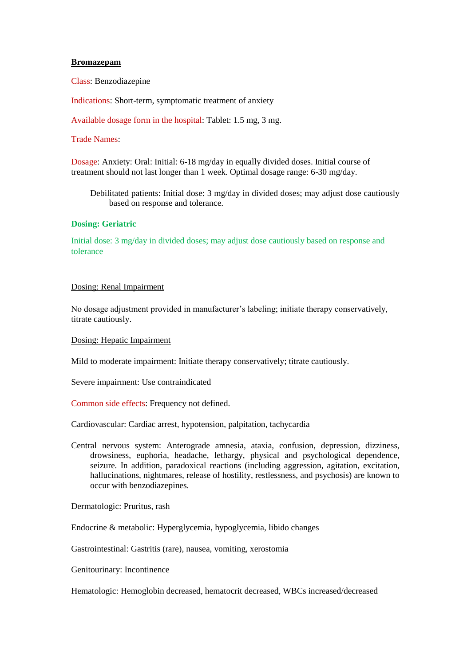### **Bromazepam**

Class: Benzodiazepine

Indications: Short-term, symptomatic treatment of anxiety

Available dosage form in the hospital: Tablet: 1.5 mg, 3 mg.

# Trade Names:

Dosage: Anxiety: Oral: Initial: 6-18 mg/day in equally divided doses. Initial course of treatment should not last longer than 1 week. Optimal dosage range: 6-30 mg/day.

Debilitated patients: Initial dose: 3 mg/day in divided doses; may adjust dose cautiously based on response and tolerance.

# **Dosing: Geriatric**

Initial dose: 3 mg/day in divided doses; may adjust dose cautiously based on response and tolerance

# Dosing: Renal Impairment

No dosage adjustment provided in manufacturer's labeling; initiate therapy conservatively, titrate cautiously.

### Dosing: Hepatic Impairment

Mild to moderate impairment: Initiate therapy conservatively; titrate cautiously.

Severe impairment: Use contraindicated

Common side effects: Frequency not defined.

Cardiovascular: Cardiac arrest, hypotension, palpitation, tachycardia

Central nervous system: Anterograde amnesia, ataxia, confusion, depression, dizziness, drowsiness, euphoria, headache, lethargy, physical and psychological dependence, seizure. In addition, paradoxical reactions (including aggression, agitation, excitation, hallucinations, nightmares, release of hostility, restlessness, and psychosis) are known to occur with benzodiazepines.

Dermatologic: Pruritus, rash

Endocrine & metabolic: Hyperglycemia, hypoglycemia, libido changes

Gastrointestinal: Gastritis (rare), nausea, vomiting, xerostomia

Genitourinary: Incontinence

Hematologic: Hemoglobin decreased, hematocrit decreased, WBCs increased/decreased